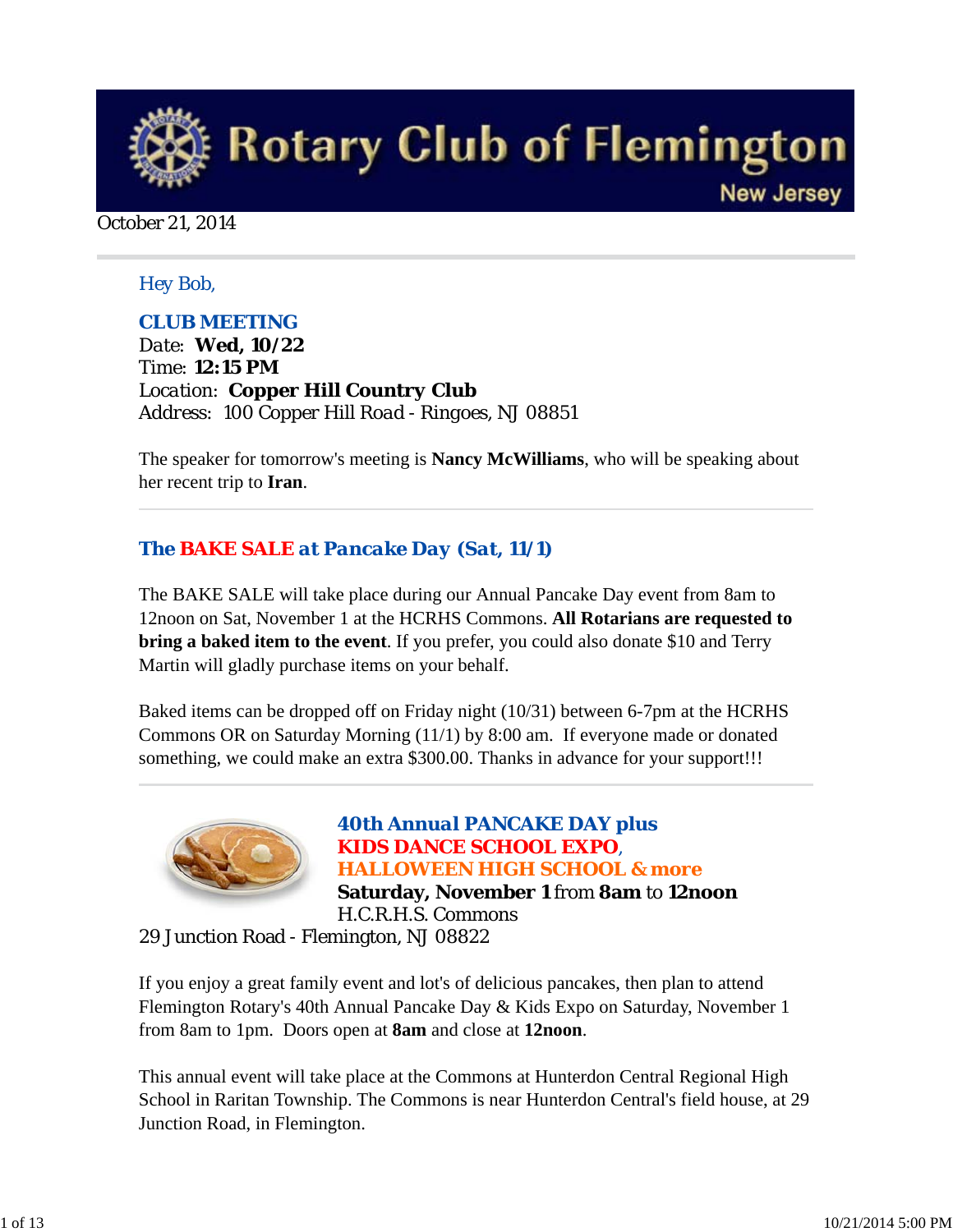

October 21, 2014

# *Hey Bob,*

# *CLUB MEETING*

*Date: Wed, 10/22 Time: 12:15 PM Location: Copper Hill Country Club Address: 100 Copper Hill Road - Ringoes, NJ 08851*

The speaker for tomorrow's meeting is **Nancy McWilliams**, who will be speaking about her recent trip to **Iran**.

# *The BAKE SALE at Pancake Day (Sat, 11/1)*

The BAKE SALE will take place during our Annual Pancake Day event from 8am to 12noon on Sat, November 1 at the HCRHS Commons. **All Rotarians are requested to bring a baked item to the event**. If you prefer, you could also donate \$10 and Terry Martin will gladly purchase items on your behalf.

Baked items can be dropped off on Friday night (10/31) between 6-7pm at the HCRHS Commons OR on Saturday Morning (11/1) by 8:00 am. If everyone made or donated something, we could make an extra \$300.00. Thanks in advance for your support!!!



*40th Annual PANCAKE DAY plus KIDS DANCE SCHOOL EXPO, HALLOWEEN HIGH SCHOOL & more*  **Saturday, November 1** from **8am** to **12noon** H.C.R.H.S. Commons

29 Junction Road - Flemington, NJ 08822

If you enjoy a great family event and lot's of delicious pancakes, then plan to attend Flemington Rotary's 40th Annual Pancake Day & Kids Expo on Saturday, November 1 from 8am to 1pm. Doors open at **8am** and close at **12noon**.

This annual event will take place at the Commons at Hunterdon Central Regional High School in Raritan Township. The Commons is near Hunterdon Central's field house, at 29 Junction Road, in Flemington.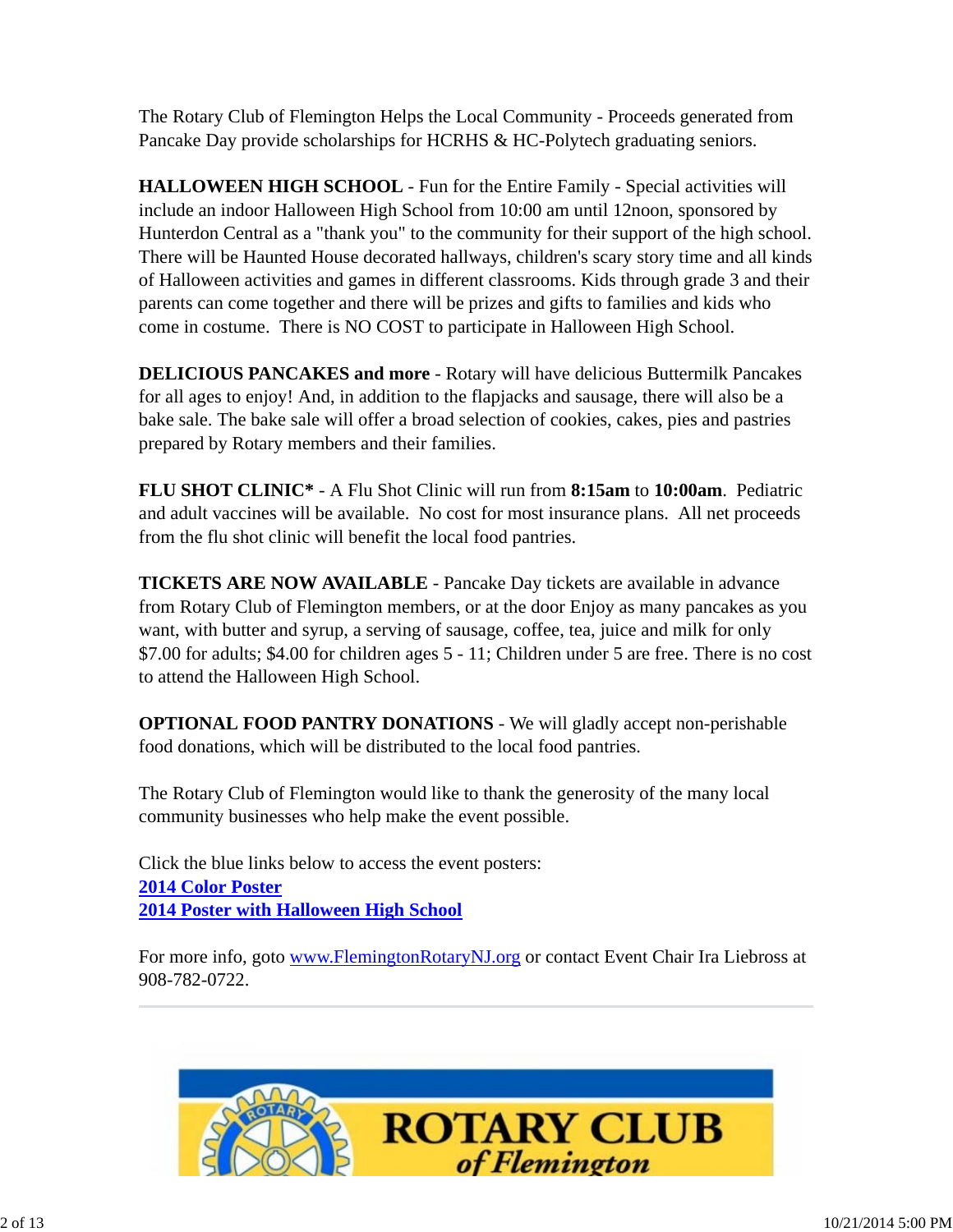The Rotary Club of Flemington Helps the Local Community - Proceeds generated from Pancake Day provide scholarships for HCRHS & HC-Polytech graduating seniors.

**HALLOWEEN HIGH SCHOOL** - Fun for the Entire Family - Special activities will include an indoor Halloween High School from 10:00 am until 12noon, sponsored by Hunterdon Central as a "thank you" to the community for their support of the high school. There will be Haunted House decorated hallways, children's scary story time and all kinds of Halloween activities and games in different classrooms. Kids through grade 3 and their parents can come together and there will be prizes and gifts to families and kids who come in costume. There is NO COST to participate in Halloween High School.

**DELICIOUS PANCAKES and more** - Rotary will have delicious Buttermilk Pancakes for all ages to enjoy! And, in addition to the flapjacks and sausage, there will also be a bake sale. The bake sale will offer a broad selection of cookies, cakes, pies and pastries prepared by Rotary members and their families.

**FLU SHOT CLINIC\*** - A Flu Shot Clinic will run from **8:15am** to **10:00am**. Pediatric and adult vaccines will be available. No cost for most insurance plans. All net proceeds from the flu shot clinic will benefit the local food pantries.

**TICKETS ARE NOW AVAILABLE** - Pancake Day tickets are available in advance from Rotary Club of Flemington members, or at the door Enjoy as many pancakes as you want, with butter and syrup, a serving of sausage, coffee, tea, juice and milk for only \$7.00 for adults; \$4.00 for children ages 5 - 11; Children under 5 are free. There is no cost to attend the Halloween High School.

**OPTIONAL FOOD PANTRY DONATIONS** - We will gladly accept non-perishable food donations, which will be distributed to the local food pantries.

The Rotary Club of Flemington would like to thank the generosity of the many local community businesses who help make the event possible.

Click the blue links below to access the event posters: **2014 Color Poster 2014 Poster with Halloween High School**

For more info, goto www.FlemingtonRotaryNJ.org or contact Event Chair Ira Liebross at 908-782-0722.

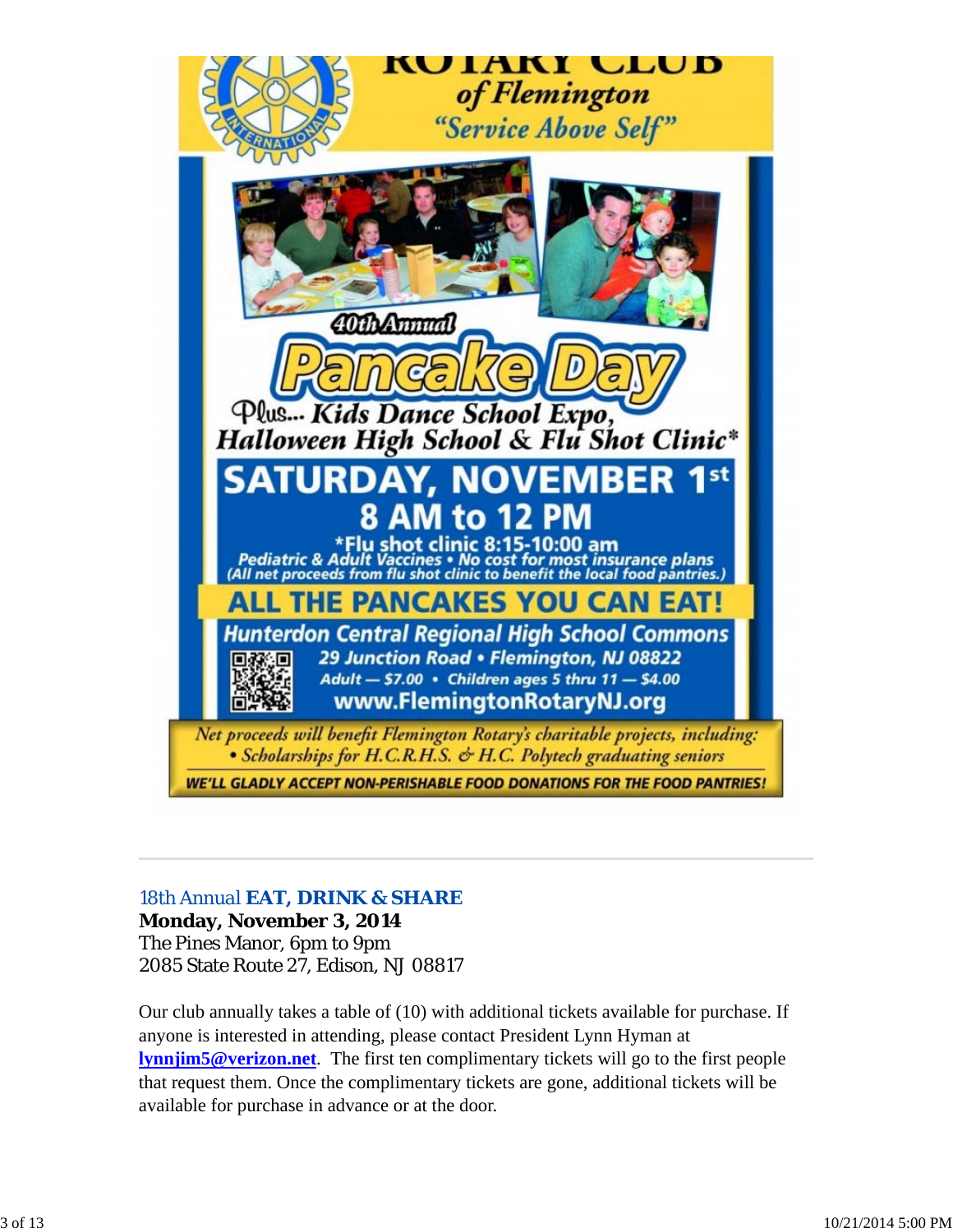

# *18th Annual EAT, DRINK & SHARE*

**Monday, November 3, 2014** The Pines Manor, 6pm to 9pm 2085 State Route 27, Edison, NJ 08817

Our club annually takes a table of (10) with additional tickets available for purchase. If anyone is interested in attending, please contact President Lynn Hyman at **lynnjim5@verizon.net**. The first ten complimentary tickets will go to the first people that request them. Once the complimentary tickets are gone, additional tickets will be available for purchase in advance or at the door.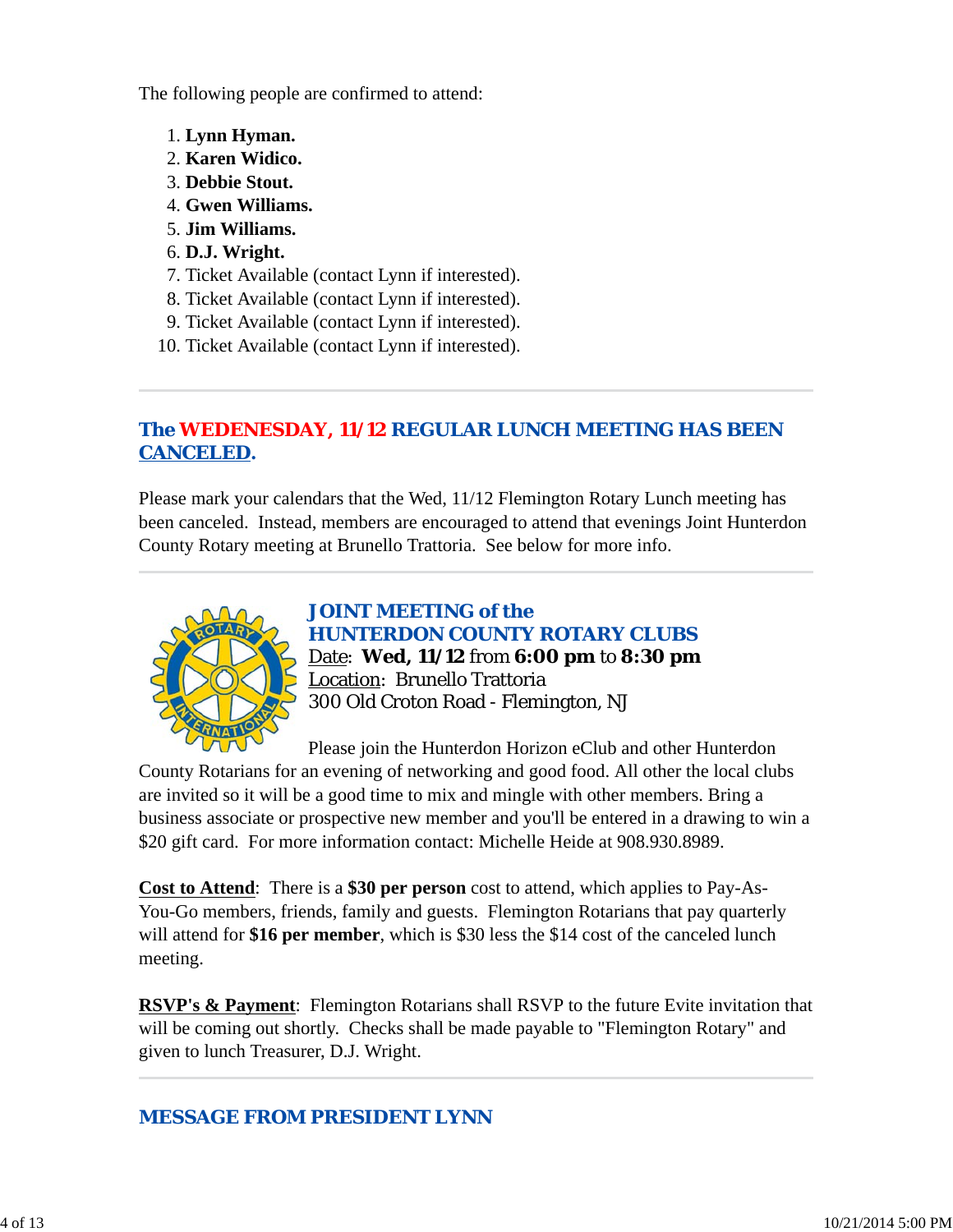The following people are confirmed to attend:

- 1. **Lynn Hyman.**
- 2. **Karen Widico.**
- 3. **Debbie Stout.**
- 4. **Gwen Williams.**
- 5. **Jim Williams.**
- 6. **D.J. Wright.**
- 7. Ticket Available (contact Lynn if interested).
- 8. Ticket Available (contact Lynn if interested).
- 9. Ticket Available (contact Lynn if interested).
- 10. Ticket Available (contact Lynn if interested).

# *The WEDENESDAY, 11/12 REGULAR LUNCH MEETING HAS BEEN CANCELED.*

Please mark your calendars that the Wed, 11/12 Flemington Rotary Lunch meeting has been canceled. Instead, members are encouraged to attend that evenings Joint Hunterdon County Rotary meeting at Brunello Trattoria. See below for more info.



*JOINT MEETING of the HUNTERDON COUNTY ROTARY CLUBS* Date: **Wed, 11/12** from **6:00 pm** to **8:30 pm** Location: Brunello Trattoria

300 Old Croton Road - Flemington, NJ

Please join the Hunterdon Horizon eClub and other Hunterdon

County Rotarians for an evening of networking and good food. All other the local clubs are invited so it will be a good time to mix and mingle with other members. Bring a business associate or prospective new member and you'll be entered in a drawing to win a \$20 gift card. For more information contact: Michelle Heide at 908.930.8989.

**Cost to Attend**: There is a **\$30 per person** cost to attend, which applies to Pay-As-You-Go members, friends, family and guests. Flemington Rotarians that pay quarterly will attend for **\$16 per member**, which is \$30 less the \$14 cost of the canceled lunch meeting.

**RSVP's & Payment**: Flemington Rotarians shall RSVP to the future Evite invitation that will be coming out shortly. Checks shall be made payable to "Flemington Rotary" and given to lunch Treasurer, D.J. Wright.

# *MESSAGE FROM PRESIDENT LYNN*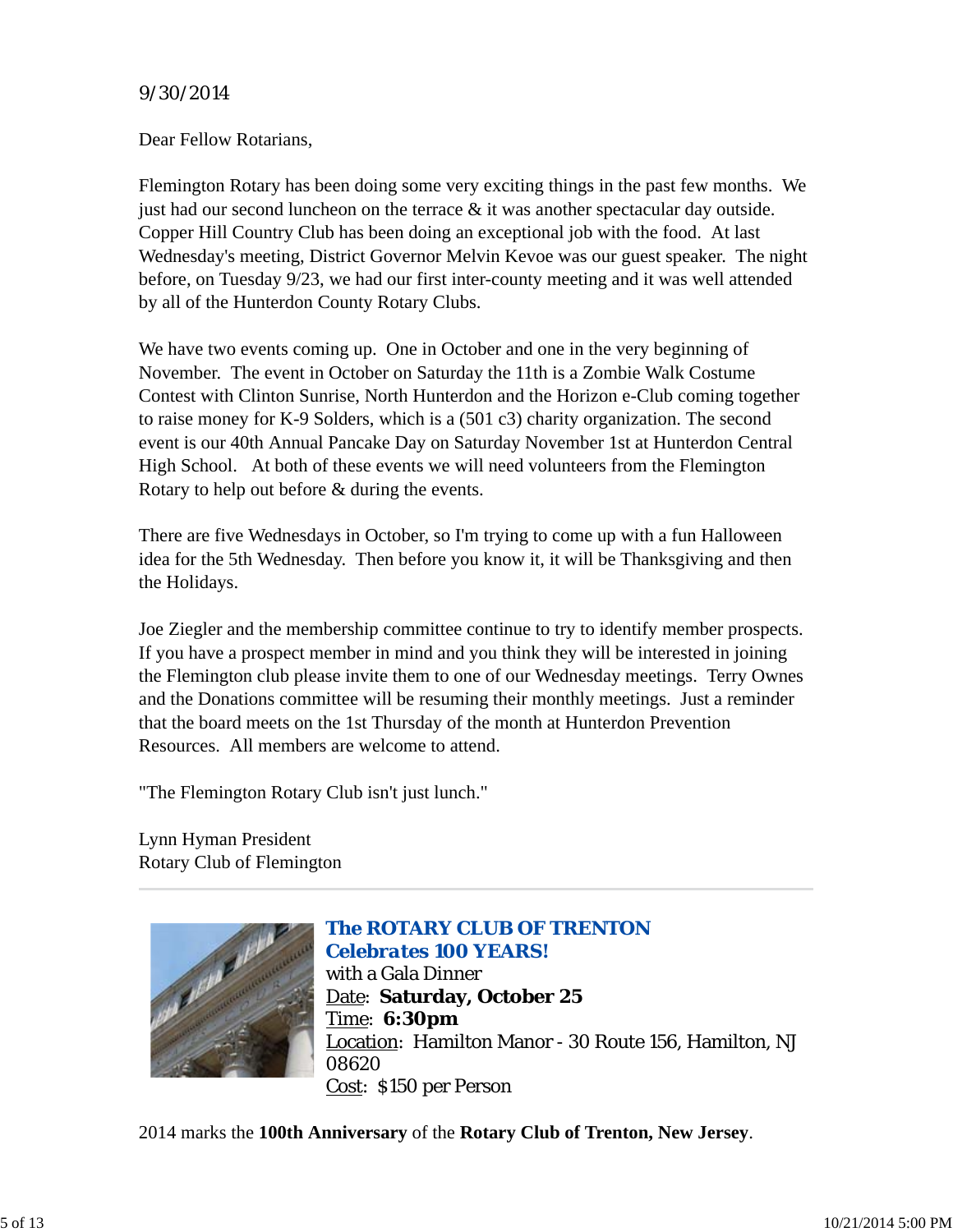# *9/30/2014*

Dear Fellow Rotarians,

Flemington Rotary has been doing some very exciting things in the past few months. We just had our second luncheon on the terrace  $\&$  it was another spectacular day outside. Copper Hill Country Club has been doing an exceptional job with the food. At last Wednesday's meeting, District Governor Melvin Kevoe was our guest speaker. The night before, on Tuesday 9/23, we had our first inter-county meeting and it was well attended by all of the Hunterdon County Rotary Clubs.

We have two events coming up. One in October and one in the very beginning of November. The event in October on Saturday the 11th is a Zombie Walk Costume Contest with Clinton Sunrise, North Hunterdon and the Horizon e-Club coming together to raise money for K-9 Solders, which is a (501 c3) charity organization. The second event is our 40th Annual Pancake Day on Saturday November 1st at Hunterdon Central High School. At both of these events we will need volunteers from the Flemington Rotary to help out before & during the events.

There are five Wednesdays in October, so I'm trying to come up with a fun Halloween idea for the 5th Wednesday. Then before you know it, it will be Thanksgiving and then the Holidays.

Joe Ziegler and the membership committee continue to try to identify member prospects. If you have a prospect member in mind and you think they will be interested in joining the Flemington club please invite them to one of our Wednesday meetings. Terry Ownes and the Donations committee will be resuming their monthly meetings. Just a reminder that the board meets on the 1st Thursday of the month at Hunterdon Prevention Resources. All members are welcome to attend.

"The Flemington Rotary Club isn't just lunch."

Lynn Hyman President Rotary Club of Flemington



# *The ROTARY CLUB OF TRENTON Celebrates 100 YEARS!* with a Gala Dinner Date: **Saturday, October 25** Time: **6:30pm** Location: Hamilton Manor - 30 Route 156, Hamilton, NJ 08620 Cost: \$150 per Person

2014 marks the **100th Anniversary** of the **Rotary Club of Trenton, New Jersey**.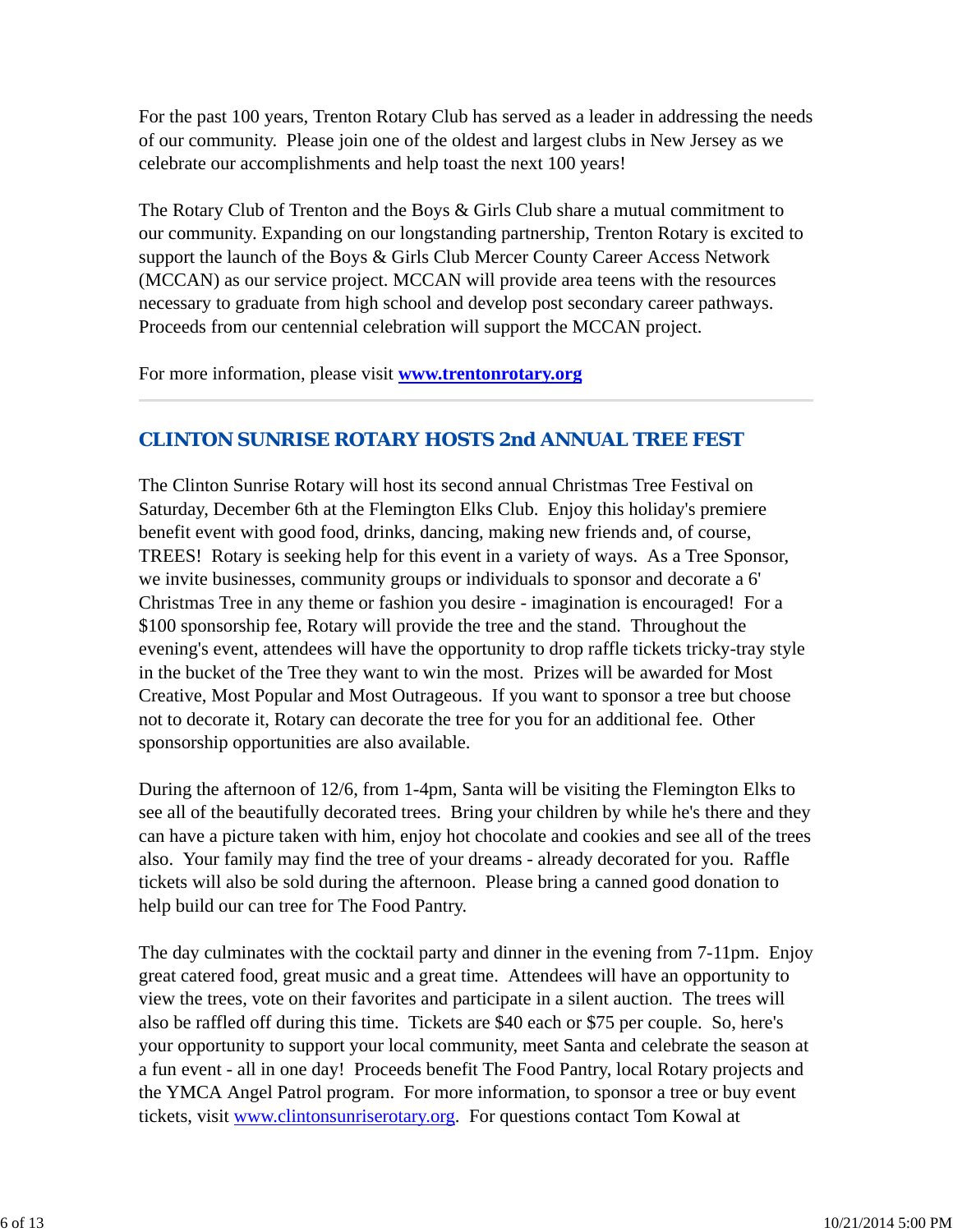For the past 100 years, Trenton Rotary Club has served as a leader in addressing the needs of our community. Please join one of the oldest and largest clubs in New Jersey as we celebrate our accomplishments and help toast the next 100 years!

The Rotary Club of Trenton and the Boys & Girls Club share a mutual commitment to our community. Expanding on our longstanding partnership, Trenton Rotary is excited to support the launch of the Boys & Girls Club Mercer County Career Access Network (MCCAN) as our service project. MCCAN will provide area teens with the resources necessary to graduate from high school and develop post secondary career pathways. Proceeds from our centennial celebration will support the MCCAN project.

For more information, please visit **www.trentonrotary.org**

# *CLINTON SUNRISE ROTARY HOSTS 2nd ANNUAL TREE FEST*

The Clinton Sunrise Rotary will host its second annual Christmas Tree Festival on Saturday, December 6th at the Flemington Elks Club. Enjoy this holiday's premiere benefit event with good food, drinks, dancing, making new friends and, of course, TREES! Rotary is seeking help for this event in a variety of ways. As a Tree Sponsor, we invite businesses, community groups or individuals to sponsor and decorate a 6' Christmas Tree in any theme or fashion you desire - imagination is encouraged! For a \$100 sponsorship fee, Rotary will provide the tree and the stand. Throughout the evening's event, attendees will have the opportunity to drop raffle tickets tricky-tray style in the bucket of the Tree they want to win the most. Prizes will be awarded for Most Creative, Most Popular and Most Outrageous. If you want to sponsor a tree but choose not to decorate it, Rotary can decorate the tree for you for an additional fee. Other sponsorship opportunities are also available.

During the afternoon of 12/6, from 1-4pm, Santa will be visiting the Flemington Elks to see all of the beautifully decorated trees. Bring your children by while he's there and they can have a picture taken with him, enjoy hot chocolate and cookies and see all of the trees also. Your family may find the tree of your dreams - already decorated for you. Raffle tickets will also be sold during the afternoon. Please bring a canned good donation to help build our can tree for The Food Pantry.

The day culminates with the cocktail party and dinner in the evening from 7-11pm. Enjoy great catered food, great music and a great time. Attendees will have an opportunity to view the trees, vote on their favorites and participate in a silent auction. The trees will also be raffled off during this time. Tickets are \$40 each or \$75 per couple. So, here's your opportunity to support your local community, meet Santa and celebrate the season at a fun event - all in one day! Proceeds benefit The Food Pantry, local Rotary projects and the YMCA Angel Patrol program. For more information, to sponsor a tree or buy event tickets, visit www.clintonsunriserotary.org. For questions contact Tom Kowal at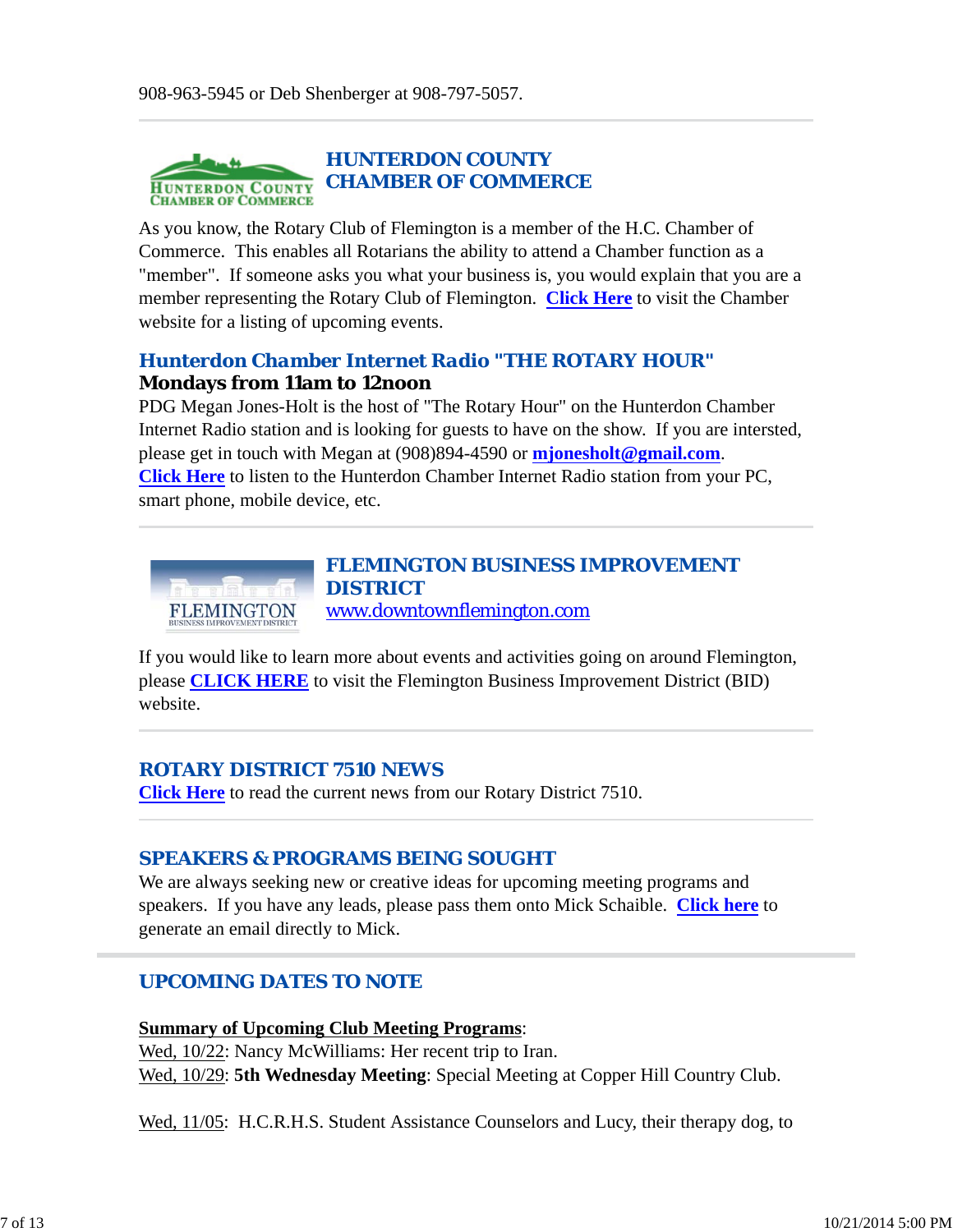

As you know, the Rotary Club of Flemington is a member of the H.C. Chamber of Commerce. This enables all Rotarians the ability to attend a Chamber function as a "member". If someone asks you what your business is, you would explain that you are a member representing the Rotary Club of Flemington. **Click Here** to visit the Chamber website for a listing of upcoming events.

# *Hunterdon Chamber Internet Radio "THE ROTARY HOUR"* **Mondays from 11am to 12noon**

PDG Megan Jones-Holt is the host of "The Rotary Hour" on the Hunterdon Chamber Internet Radio station and is looking for guests to have on the show. If you are intersted, please get in touch with Megan at (908)894-4590 or **mjonesholt@gmail.com**. **Click Here** to listen to the Hunterdon Chamber Internet Radio station from your PC, smart phone, mobile device, etc.



If you would like to learn more about events and activities going on around Flemington, please **CLICK HERE** to visit the Flemington Business Improvement District (BID) website.

# *ROTARY DISTRICT 7510 NEWS*

**Click Here** to read the current news from our Rotary District 7510.

# *SPEAKERS & PROGRAMS BEING SOUGHT*

We are always seeking new or creative ideas for upcoming meeting programs and speakers. If you have any leads, please pass them onto Mick Schaible. **Click here** to generate an email directly to Mick.

# *UPCOMING DATES TO NOTE*

#### **Summary of Upcoming Club Meeting Programs**:

Wed,  $10/22$ : Nancy McWilliams: Her recent trip to Iran. Wed, 10/29: **5th Wednesday Meeting**: Special Meeting at Copper Hill Country Club.

Wed, 11/05: H.C.R.H.S. Student Assistance Counselors and Lucy, their therapy dog, to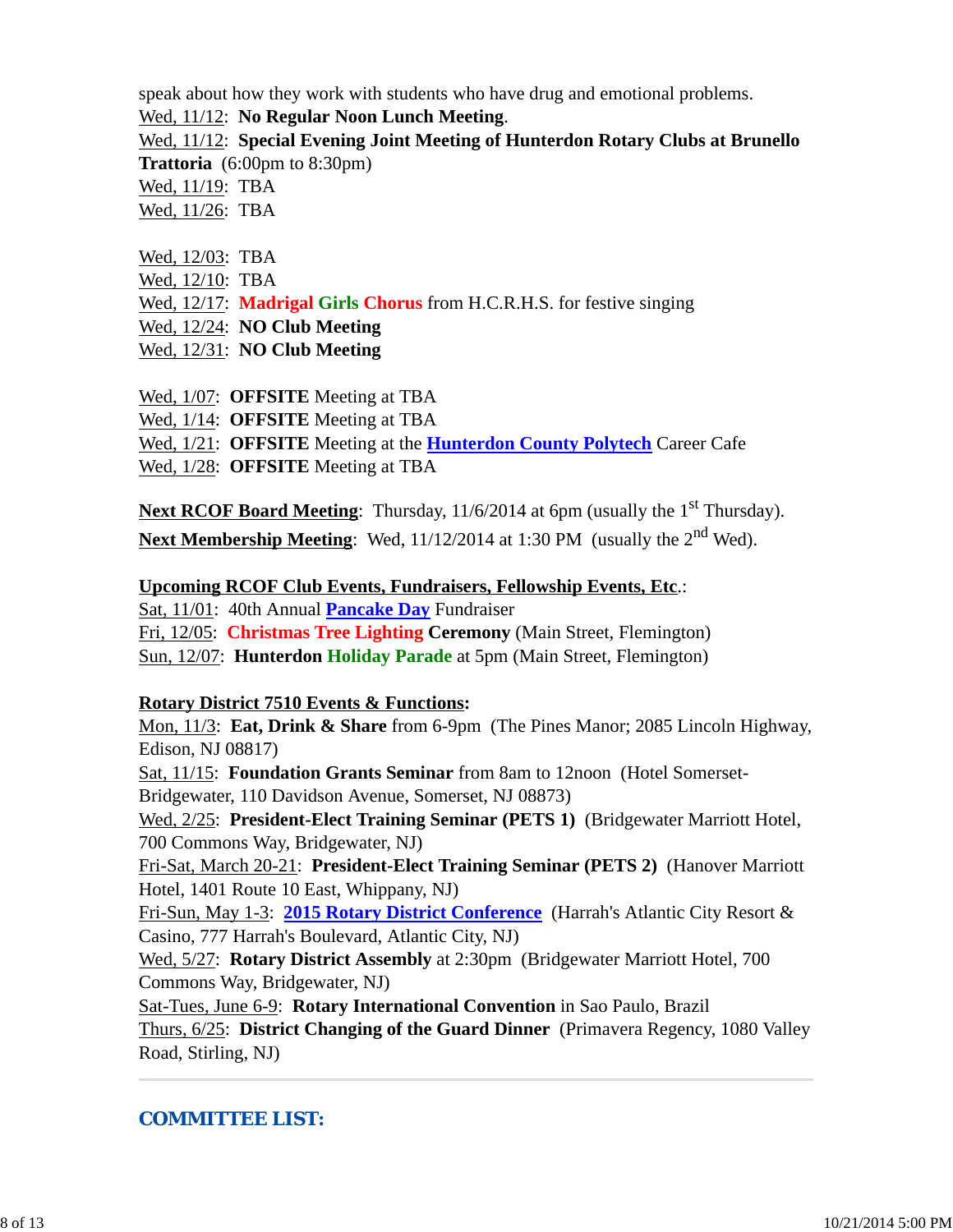speak about how they work with students who have drug and emotional problems.

Wed, 11/12: **No Regular Noon Lunch Meeting**.

Wed, 11/12: **Special Evening Joint Meeting of Hunterdon Rotary Clubs at Brunello Trattoria** (6:00pm to 8:30pm)

Wed, 11/19: TBA

Wed, 11/26: TBA

- Wed, 12/03: TBA
- Wed, 12/10: TBA
- Wed, 12/17: **Madrigal Girls Chorus** from H.C.R.H.S. for festive singing
- Wed, 12/24: **NO Club Meeting**
- Wed, 12/31: **NO Club Meeting**
- Wed, 1/07: **OFFSITE** Meeting at TBA
- Wed, 1/14: **OFFSITE** Meeting at TBA
- Wed, 1/21: **OFFSITE** Meeting at the **Hunterdon County Polytech** Career Cafe
- Wed, 1/28: **OFFSITE** Meeting at TBA

Next RCOF Board Meeting: Thursday, 11/6/2014 at 6pm (usually the 1<sup>st</sup> Thursday). Next Membership Meeting: Wed, 11/12/2014 at 1:30 PM (usually the 2<sup>nd</sup> Wed).

# **Upcoming RCOF Club Events, Fundraisers, Fellowship Events, Etc**.:

Sat, 11/01: 40th Annual **Pancake Day** Fundraiser

Fri, 12/05: **Christmas Tree Lighting Ceremony** (Main Street, Flemington)

Sun, 12/07: **Hunterdon Holiday Parade** at 5pm (Main Street, Flemington)

# **Rotary District 7510 Events & Functions:**

Mon, 11/3: **Eat, Drink & Share** from 6-9pm (The Pines Manor; 2085 Lincoln Highway, Edison, NJ 08817)

Sat, 11/15: **Foundation Grants Seminar** from 8am to 12noon (Hotel Somerset-Bridgewater, 110 Davidson Avenue, Somerset, NJ 08873)

Wed, 2/25: **President-Elect Training Seminar (PETS 1)** (Bridgewater Marriott Hotel, 700 Commons Way, Bridgewater, NJ)

Fri-Sat, March 20-21: **President-Elect Training Seminar (PETS 2)** (Hanover Marriott Hotel, 1401 Route 10 East, Whippany, NJ)

Fri-Sun, May 1-3: **2015 Rotary District Conference** (Harrah's Atlantic City Resort & Casino, 777 Harrah's Boulevard, Atlantic City, NJ)

Wed, 5/27: **Rotary District Assembly** at 2:30pm (Bridgewater Marriott Hotel, 700 Commons Way, Bridgewater, NJ)

Sat-Tues, June 6-9: **Rotary International Convention** in Sao Paulo, Brazil Thurs, 6/25: **District Changing of the Guard Dinner** (Primavera Regency, 1080 Valley Road, Stirling, NJ)

# *COMMITTEE LIST:*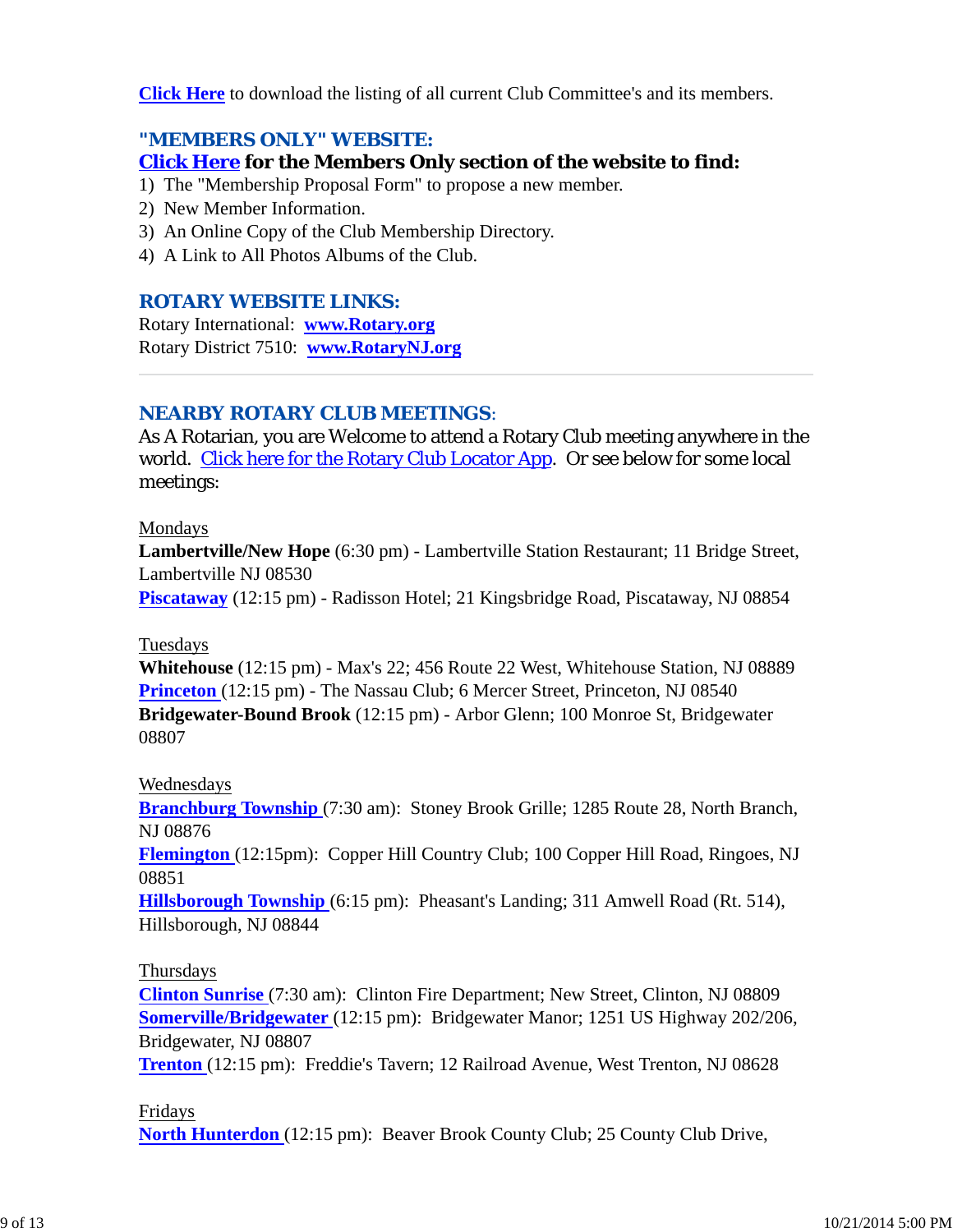**Click Here** to download the listing of all current Club Committee's and its members.

# *"MEMBERS ONLY" WEBSITE:*

# **Click Here for the Members Only section of the website to find:**

- 1) The "Membership Proposal Form" to propose a new member.
- 2) New Member Information.
- 3) An Online Copy of the Club Membership Directory.
- 4) A Link to All Photos Albums of the Club.

# *ROTARY WEBSITE LINKS:*

Rotary International: **www.Rotary.org** Rotary District 7510: **www.RotaryNJ.org**

# *NEARBY ROTARY CLUB MEETINGS:*

As A Rotarian, you are Welcome to attend a Rotary Club meeting anywhere in the world. Click here for the Rotary Club Locator App. Or see below for some local meetings:

#### Mondays

**Lambertville/New Hope** (6:30 pm) - Lambertville Station Restaurant; 11 Bridge Street, Lambertville NJ 08530

**Piscataway** (12:15 pm) - Radisson Hotel; 21 Kingsbridge Road, Piscataway, NJ 08854

# Tuesdays

**Whitehouse** (12:15 pm) - Max's 22; 456 Route 22 West, Whitehouse Station, NJ 08889 **Princeton** (12:15 pm) - The Nassau Club; 6 Mercer Street, Princeton, NJ 08540 **Bridgewater-Bound Brook** (12:15 pm) - Arbor Glenn; 100 Monroe St, Bridgewater 08807

# Wednesdays

**Branchburg Township** (7:30 am): Stoney Brook Grille; 1285 Route 28, North Branch, NJ 08876

**Flemington** (12:15pm): Copper Hill Country Club; 100 Copper Hill Road, Ringoes, NJ 08851

**Hillsborough Township** (6:15 pm): Pheasant's Landing; 311 Amwell Road (Rt. 514), Hillsborough, NJ 08844

# Thursdays

**Clinton Sunrise** (7:30 am): Clinton Fire Department; New Street, Clinton, NJ 08809 **Somerville/Bridgewater** (12:15 pm): Bridgewater Manor; 1251 US Highway 202/206, Bridgewater, NJ 08807

**Trenton** (12:15 pm): Freddie's Tavern; 12 Railroad Avenue, West Trenton, NJ 08628

# Fridays

**North Hunterdon** (12:15 pm): Beaver Brook County Club; 25 County Club Drive,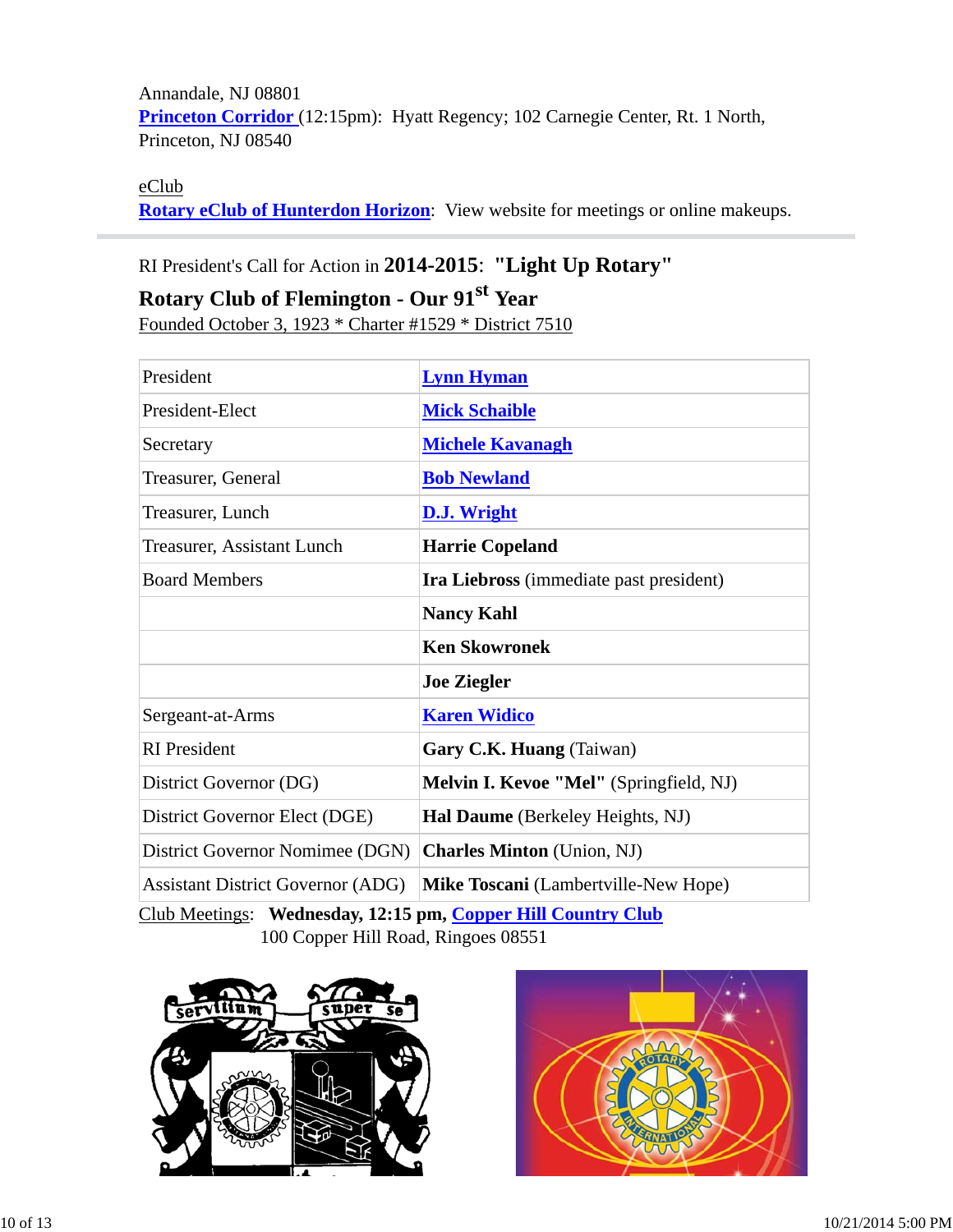Annandale, NJ 08801 Princeton Corridor (12:15pm): Hyatt Regency; 102 Carnegie Center, Rt. 1 North, Princeton, NJ 08540

#### eClub

**Rotary eClub of Hunterdon Horizon**: View website for meetings or online makeups.

# RI President's Call for Action in **2014-2015**: **"Light Up Rotary"**

# **Rotary Club of Flemington - Our 91st Year**

Founded October 3, 1923 \* Charter #1529 \* District 7510

| President                                | <b>Lynn Hyman</b>                       |  |  |
|------------------------------------------|-----------------------------------------|--|--|
| President-Elect                          | <b>Mick Schaible</b>                    |  |  |
| Secretary                                | <b>Michele Kavanagh</b>                 |  |  |
| Treasurer, General                       | <b>Bob Newland</b>                      |  |  |
| Treasurer, Lunch                         | <b>D.J. Wright</b>                      |  |  |
| Treasurer, Assistant Lunch               | <b>Harrie Copeland</b>                  |  |  |
| <b>Board Members</b>                     | Ira Liebross (immediate past president) |  |  |
|                                          | <b>Nancy Kahl</b>                       |  |  |
|                                          | <b>Ken Skowronek</b>                    |  |  |
|                                          | <b>Joe Ziegler</b>                      |  |  |
| Sergeant-at-Arms                         | <b>Karen Widico</b>                     |  |  |
| <b>RI</b> President                      | Gary C.K. Huang (Taiwan)                |  |  |
| District Governor (DG)                   | Melvin I. Kevoe "Mel" (Springfield, NJ) |  |  |
| District Governor Elect (DGE)            | Hal Daume (Berkeley Heights, NJ)        |  |  |
| District Governor Nomimee (DGN)          | <b>Charles Minton</b> (Union, NJ)       |  |  |
| <b>Assistant District Governor (ADG)</b> | Mike Toscani (Lambertville-New Hope)    |  |  |

Club Meetings: **Wednesday, 12:15 pm, Copper Hill Country Club** 100 Copper Hill Road, Ringoes 08551



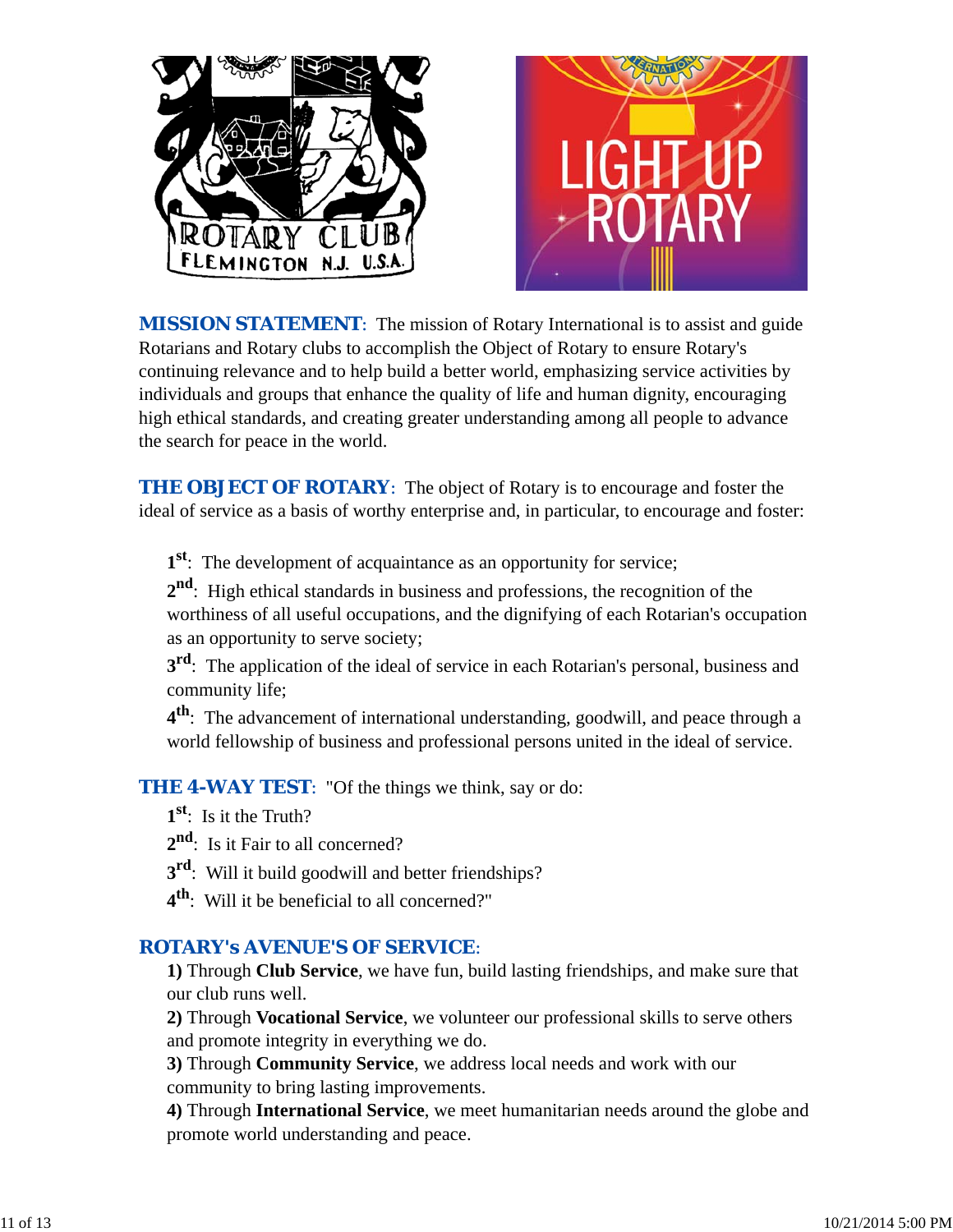

*MISSION STATEMENT*: The mission of Rotary International is to assist and guide Rotarians and Rotary clubs to accomplish the Object of Rotary to ensure Rotary's continuing relevance and to help build a better world, emphasizing service activities by individuals and groups that enhance the quality of life and human dignity, encouraging high ethical standards, and creating greater understanding among all people to advance the search for peace in the world.

**THE OBJECT OF ROTARY:** The object of Rotary is to encourage and foster the ideal of service as a basis of worthy enterprise and, in particular, to encourage and foster:

**1st**: The development of acquaintance as an opportunity for service;

**2nd**: High ethical standards in business and professions, the recognition of the worthiness of all useful occupations, and the dignifying of each Rotarian's occupation as an opportunity to serve society;

**3<sup>rd</sup>**: The application of the ideal of service in each Rotarian's personal, business and community life;

**4th**: The advancement of international understanding, goodwill, and peace through a world fellowship of business and professional persons united in the ideal of service.

*THE 4-WAY TEST*: "Of the things we think, say or do:

- **1st**: Is it the Truth?
- 2<sup>nd</sup>: Is it Fair to all concerned?
- **3<sup>rd</sup>:** Will it build goodwill and better friendships?
- **4th**: Will it be beneficial to all concerned?"

# *ROTARY's AVENUE'S OF SERVICE*:

**1)** Through **Club Service**, we have fun, build lasting friendships, and make sure that our club runs well.

**2)** Through **Vocational Service**, we volunteer our professional skills to serve others and promote integrity in everything we do.

**3)** Through **Community Service**, we address local needs and work with our community to bring lasting improvements.

**4)** Through **International Service**, we meet humanitarian needs around the globe and promote world understanding and peace.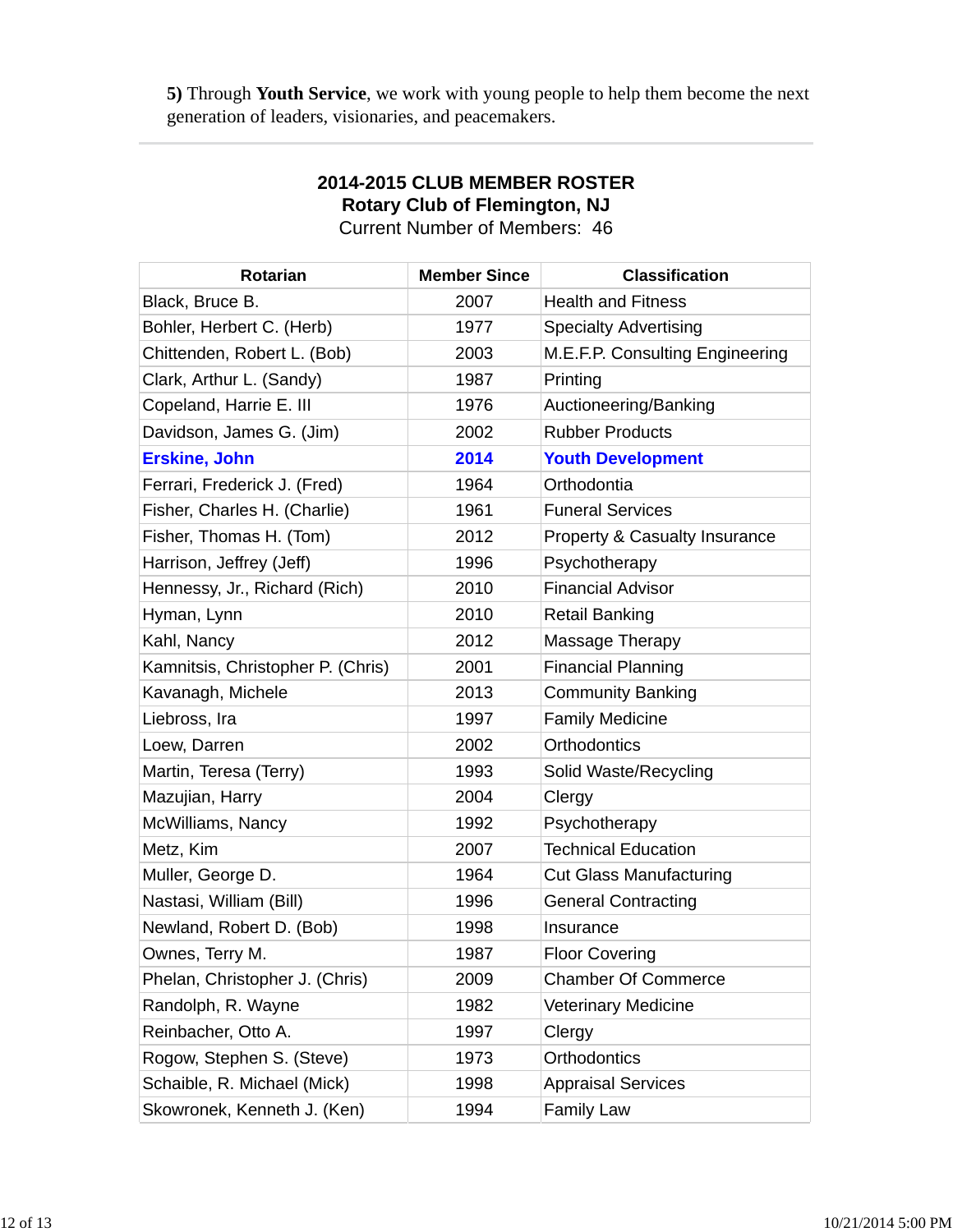**5)** Through **Youth Service**, we work with young people to help them become the next generation of leaders, visionaries, and peacemakers.

| <b>Rotarian</b>                   | <b>Member Since</b> | <b>Classification</b>                    |
|-----------------------------------|---------------------|------------------------------------------|
| Black, Bruce B.                   | 2007                | <b>Health and Fitness</b>                |
| Bohler, Herbert C. (Herb)         | 1977                | <b>Specialty Advertising</b>             |
| Chittenden, Robert L. (Bob)       | 2003                | M.E.F.P. Consulting Engineering          |
| Clark, Arthur L. (Sandy)          | 1987                | Printing                                 |
| Copeland, Harrie E. III           | 1976                | Auctioneering/Banking                    |
| Davidson, James G. (Jim)          | 2002                | <b>Rubber Products</b>                   |
| <b>Erskine, John</b>              | 2014                | <b>Youth Development</b>                 |
| Ferrari, Frederick J. (Fred)      | 1964                | Orthodontia                              |
| Fisher, Charles H. (Charlie)      | 1961                | <b>Funeral Services</b>                  |
| Fisher, Thomas H. (Tom)           | 2012                | <b>Property &amp; Casualty Insurance</b> |
| Harrison, Jeffrey (Jeff)          | 1996                | Psychotherapy                            |
| Hennessy, Jr., Richard (Rich)     | 2010                | <b>Financial Advisor</b>                 |
| Hyman, Lynn                       | 2010                | <b>Retail Banking</b>                    |
| Kahl, Nancy                       | 2012                | Massage Therapy                          |
| Kamnitsis, Christopher P. (Chris) | 2001                | <b>Financial Planning</b>                |
| Kavanagh, Michele                 | 2013                | <b>Community Banking</b>                 |
| Liebross, Ira                     | 1997                | <b>Family Medicine</b>                   |
| Loew, Darren                      | 2002                | Orthodontics                             |
| Martin, Teresa (Terry)            | 1993                | Solid Waste/Recycling                    |
| Mazujian, Harry                   | 2004                | Clergy                                   |
| McWilliams, Nancy                 | 1992                | Psychotherapy                            |
| Metz, Kim                         | 2007                | <b>Technical Education</b>               |
| Muller, George D.                 | 1964                | <b>Cut Glass Manufacturing</b>           |
| Nastasi, William (Bill)           | 1996                | <b>General Contracting</b>               |
| Newland, Robert D. (Bob)          | 1998                | Insurance                                |
| Ownes, Terry M.                   | 1987                | <b>Floor Covering</b>                    |
| Phelan, Christopher J. (Chris)    | 2009                | <b>Chamber Of Commerce</b>               |
| Randolph, R. Wayne                | 1982                | <b>Veterinary Medicine</b>               |
| Reinbacher, Otto A.               | 1997                | Clergy                                   |
| Rogow, Stephen S. (Steve)         | 1973                | Orthodontics                             |
| Schaible, R. Michael (Mick)       | 1998                | <b>Appraisal Services</b>                |
| Skowronek, Kenneth J. (Ken)       | 1994                | <b>Family Law</b>                        |

# **2014-2015 CLUB MEMBER ROSTER Rotary Club of Flemington, NJ**

Current Number of Members: 46